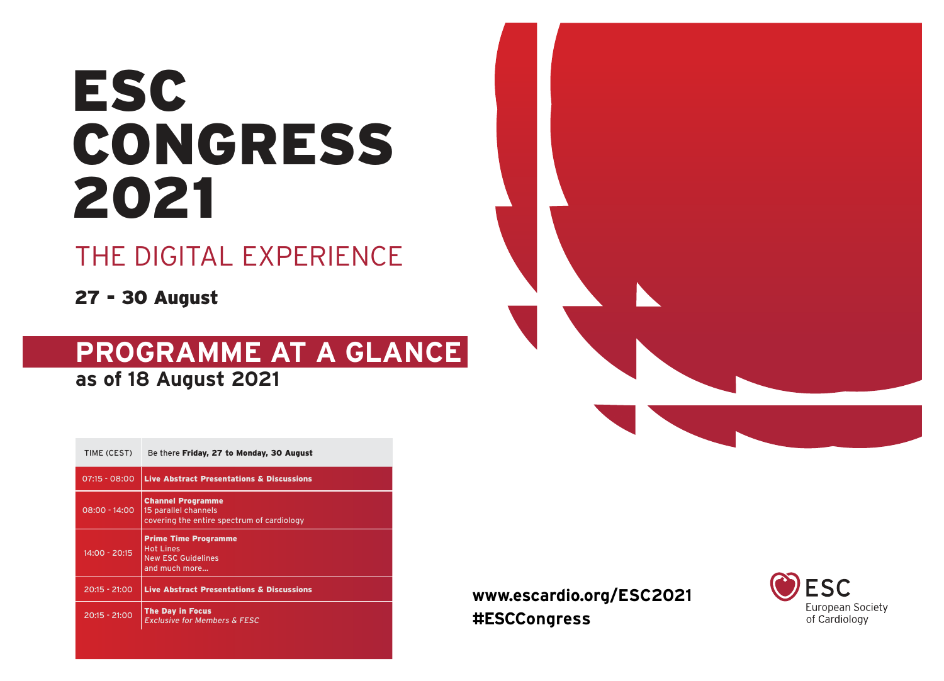# ESC CONGRESS 2021

# THE DIGITAL EXPERIENCE

27 - 30 August

# **PROGRAMME AT A GLANCE as of 18 August 2021**

| TIME (CEST)     | Be there Friday, 27 to Monday, 30 August                                                       |
|-----------------|------------------------------------------------------------------------------------------------|
| $07:15 - 08:00$ | <b>Live Abstract Presentations &amp; Discussions</b>                                           |
| $08:00 - 14:00$ | <b>Channel Programme</b><br>15 parallel channels<br>covering the entire spectrum of cardiology |
| $14:00 - 20:15$ | <b>Prime Time Programme</b><br><b>Hot Lines</b><br><b>New ESC Guidelines</b><br>and much more  |
| $20:15 - 21:00$ | <b>Live Abstract Presentations &amp; Discussions</b>                                           |
| 20:15 - 21:00   | <b>The Day in Focus</b><br><b>Exclusive for Members &amp; FESC</b>                             |





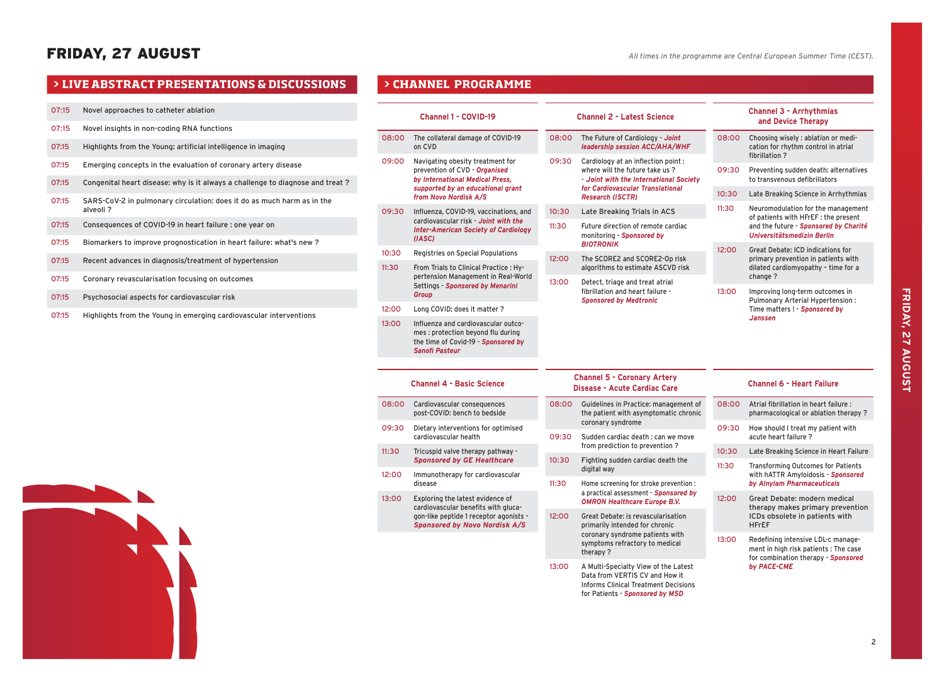|       | > LIVE ABSTRACT PRESENTATIONS & DISCUSSIONS                                        |
|-------|------------------------------------------------------------------------------------|
|       |                                                                                    |
| 07:15 | Novel approaches to catheter ablation                                              |
| 07:15 | Novel insights in non-coding RNA functions                                         |
| 07:15 | Highlights from the Young: artificial intelligence in imaging                      |
| 07:15 | Emerging concepts in the evaluation of coronary artery disease                     |
| 07:15 | Congenital heart disease: why is it always a challenge to diagnose and treat?      |
| 07:15 | SARS-CoV-2 in pulmonary circulation: does it do as much harm as in the<br>alveoli? |
| 07:15 | Consequences of COVID-19 in heart failure : one year on                            |
| 07:15 | Biomarkers to improve prognostication in heart failure: what's new?                |
| 07:15 | Recent advances in diagnosis/treatment of hypertension                             |
| 07:15 | Coronary revascularisation focusing on outcomes                                    |
| 07:15 | Psychosocial aspects for cardiovascular risk                                       |
| 07:15 | Highlights from the Young in emerging cardiovascular interventions                 |

|       | <b>Channel 1 - COVID-19</b>                                                                                                        |                                                             | <b>Channel 2 - Latest Science</b>                                                                                                                        | <b>Channel 3 - Arrhythmias</b><br>and Device Therapy |                                                                                                                    |  |  |
|-------|------------------------------------------------------------------------------------------------------------------------------------|-------------------------------------------------------------|----------------------------------------------------------------------------------------------------------------------------------------------------------|------------------------------------------------------|--------------------------------------------------------------------------------------------------------------------|--|--|
| 08:00 | The collateral damage of COVID-19<br>on CVD                                                                                        | 08:00                                                       | The Future of Cardiology - Joint<br>leadership session ACC/AHA/WHF                                                                                       | 08:00                                                | Choosing wisely : ablation or medi-<br>cation for rhythm control in atrial<br>fibrillation?                        |  |  |
| 09:00 | Navigating obesity treatment for<br>prevention of CVD - Organised<br>by International Medical Press,                               | 09:30                                                       | Cardiology at an inflection point :<br>where will the future take us?<br>- Joint with the International Society                                          | 09:30                                                | Preventing sudden death: alternatives<br>to transvenous defibrillators                                             |  |  |
|       | supported by an educational grant<br>from Novo Nordisk A/S                                                                         | for Cardiovascular Translational<br><b>Research (ISCTR)</b> |                                                                                                                                                          | 10:30                                                | Late Breaking Science in Arrhythmias                                                                               |  |  |
| 09:30 | Influenza, COVID-19, vaccinations, and                                                                                             | 10:30                                                       | Late Breaking Trials in ACS                                                                                                                              | 11:30                                                | Neuromodulation for the management<br>of patients with HFrEF : the present                                         |  |  |
|       | cardiovascular risk - Joint with the<br><b>Inter-American Society of Cardiology</b><br>(IASC)                                      | 11:30                                                       | Future direction of remote cardiac<br>monitoring - Sponsored by<br><b>BIOTRONIK</b>                                                                      |                                                      | and the future - Sponsored by Charité<br>Universitätsmedizin Berlin                                                |  |  |
| 10:30 | Registries on Special Populations                                                                                                  | 12:00                                                       | The SCORE2 and SCORE2-Op risk                                                                                                                            | 12:00                                                | <b>Great Debate: ICD indications for</b><br>primary prevention in patients with                                    |  |  |
| 11:30 | From Trials to Clinical Practice: Hy-<br>pertension Management in Real-World                                                       |                                                             | algorithms to estimate ASCVD risk                                                                                                                        |                                                      | dilated cardiomyopathy - time for a<br>change?                                                                     |  |  |
|       | Settings - Sponsored by Menarini<br>Group                                                                                          | 13:00                                                       | Detect, triage and treat atrial<br>fibrillation and heart failure -<br><b>Sponsored by Medtronic</b>                                                     | 13:00                                                | Improving long-term outcomes in<br>Pulmonary Arterial Hypertension:                                                |  |  |
| 12:00 | Long COVID: does it matter?                                                                                                        |                                                             |                                                                                                                                                          |                                                      | Time matters! - Sponsored by<br><b>Janssen</b>                                                                     |  |  |
| 13:00 | Influenza and cardiovascular outco-<br>mes : protection beyond flu during<br>the time of Covid-19 - Sponsored by<br>Sanofi Pasteur |                                                             |                                                                                                                                                          |                                                      |                                                                                                                    |  |  |
|       |                                                                                                                                    |                                                             |                                                                                                                                                          |                                                      |                                                                                                                    |  |  |
|       | <b>Channel 4 - Basic Science</b>                                                                                                   |                                                             | <b>Channel 5 - Coronary Artery</b><br>Disease - Acute Cardiac Care                                                                                       |                                                      | <b>Channel 6 - Heart Failure</b>                                                                                   |  |  |
| 08:00 | Cardiovascular consequences<br>post-COVID: bench to bedside                                                                        | 08:00                                                       | Guidelines in Practice: management of<br>the patient with asymptomatic chronic                                                                           | 08:00                                                | Atrial fibrillation in heart failure :<br>pharmacological or ablation therapy?                                     |  |  |
| 09:30 | Dietary interventions for optimised<br>cardiovascular health                                                                       | 09:30                                                       | coronary syndrome<br>Sudden cardiac death : can we move                                                                                                  | 09:30                                                | How should I treat my patient with<br>acute heart failure?                                                         |  |  |
| 11:30 | Tricuspid valve therapy pathway -<br><b>Sponsored by GE Healthcare</b>                                                             | 10:30                                                       | from prediction to prevention?<br>Fighting sudden cardiac death the                                                                                      | 10:30                                                | Late Breaking Science in Heart Failure                                                                             |  |  |
| 12:00 | Immunotherapy for cardiovascular<br>disease                                                                                        | 11:30                                                       | digital way<br>Home screening for stroke prevention :                                                                                                    | 11:30                                                | <b>Transforming Outcomes for Patients</b><br>with hATTR Amyloidosis - Sponsored<br>by Alnylam Pharmaceuticals      |  |  |
| 13:00 | Exploring the latest evidence of<br>cardiovascular benefits with gluca-                                                            |                                                             | a practical assessment - Sponsored by<br><b>OMRON Healthcare Europe B.V.</b>                                                                             | 12:00                                                | Great Debate: modern medical<br>therapy makes primary prevention                                                   |  |  |
|       | gon-like peptide 1 receptor agonists -<br><b>Sponsored by Novo Nordisk A/S</b>                                                     | 12:00                                                       | <b>Great Debate: is revascularisation</b><br>primarily intended for chronic                                                                              |                                                      | ICDs obsolete in patients with<br><b>HFrEF</b>                                                                     |  |  |
|       |                                                                                                                                    |                                                             | coronary syndrome patients with<br>symptoms refractory to medical<br>therapy?                                                                            | 13:00                                                | Redefining intensive LDL-c manage-<br>ment in high risk patients : The case<br>for combination therapy - Sponsored |  |  |
|       |                                                                                                                                    | 13:00                                                       | A Multi-Specialty View of the Latest<br>Data from VERTIS CV and How it<br><b>Informs Clinical Treatment Decisions</b><br>for Patients - Sponsored by MSD |                                                      | by PACE-CME                                                                                                        |  |  |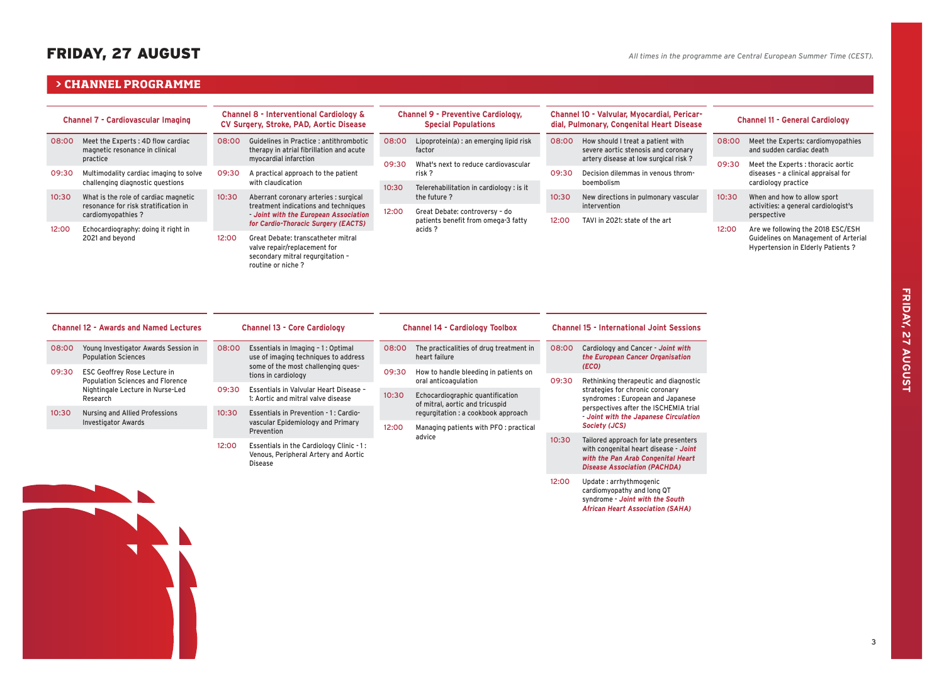# FRIDAY, 27 AUGUST

*African Heart Association (SAHA)*

# **> CHANNEL PROGRAMME**

| <b>Channel 7 - Cardiovascular Imaging</b> |                                                                              | <b>Channel 8 - Interventional Cardiology &amp;</b><br>CV Surgery, Stroke, PAD, Aortic Disease                                                    |                                                                                                                                      | <b>Channel 9 - Preventive Cardiology,</b><br><b>Special Populations</b> |                                                      | Channel 10 - Valvular, Myocardial, Pericar-<br>dial, Pulmonary, Congenital Heart Disease |                                                                          |       | <b>Channel 11 - General Cardiology</b>                                    |  |  |
|-------------------------------------------|------------------------------------------------------------------------------|--------------------------------------------------------------------------------------------------------------------------------------------------|--------------------------------------------------------------------------------------------------------------------------------------|-------------------------------------------------------------------------|------------------------------------------------------|------------------------------------------------------------------------------------------|--------------------------------------------------------------------------|-------|---------------------------------------------------------------------------|--|--|
| 08:00                                     | Meet the Experts: 4D flow cardiac<br>magnetic resonance in clinical          | 08:00                                                                                                                                            | Guidelines in Practice : antithrombotic<br>therapy in atrial fibrillation and acute                                                  | 08:00                                                                   | Lipoprotein(a) : an emerging lipid risk<br>factor    | 08:00                                                                                    | How should I treat a patient with<br>severe aortic stenosis and coronary | 08:00 | Meet the Experts: cardiomyopathies<br>and sudden cardiac death            |  |  |
|                                           | practice                                                                     |                                                                                                                                                  | myocardial infarction                                                                                                                | 09:30                                                                   | What's next to reduce cardiovascular                 |                                                                                          | artery disease at low surgical risk?                                     | 09:30 | Meet the Experts : thoracic aortic                                        |  |  |
| 09:30                                     | Multimodality cardiac imaging to solve                                       | 09:30                                                                                                                                            | A practical approach to the patient                                                                                                  |                                                                         | risk?<br>09:30                                       |                                                                                          | Decision dilemmas in venous throm-                                       |       | diseases - a clinical appraisal for                                       |  |  |
|                                           | challenging diagnostic questions                                             |                                                                                                                                                  | with claudication                                                                                                                    |                                                                         | 10:30<br>Telerehabilitation in cardiology : is it    |                                                                                          | boembolism                                                               |       | cardiology practice                                                       |  |  |
| 10:30                                     | What is the role of cardiac magnetic<br>resonance for risk stratification in | 10:30<br>Aberrant coronary arteries : surgical<br>the future?<br>treatment indications and techniques<br>12:00<br>Great Debate: controversy - do |                                                                                                                                      | 10:30                                                                   | New directions in pulmonary vascular<br>intervention | 10:30                                                                                    | When and how to allow sport                                              |       |                                                                           |  |  |
|                                           | cardiomyopathies?                                                            |                                                                                                                                                  | Joint with the European Association                                                                                                  |                                                                         |                                                      |                                                                                          |                                                                          |       | activities: a general cardiologist's<br>perspective                       |  |  |
|                                           |                                                                              |                                                                                                                                                  | for Cardio-Thoracic Surgery (EACTS)                                                                                                  |                                                                         | patients benefit from omega-3 fatty                  |                                                                                          | TAVI in 2021: state of the art                                           |       |                                                                           |  |  |
| 12:00                                     | Echocardiography: doing it right in                                          |                                                                                                                                                  |                                                                                                                                      |                                                                         | acids ?                                              |                                                                                          |                                                                          | 12:00 | Are we following the 2018 ESC/ESH                                         |  |  |
|                                           | 2021 and beyond                                                              |                                                                                                                                                  | Great Debate: transcatheter mitral<br>12:00<br>valve repair/replacement for<br>secondary mitral regurgitation -<br>routine or niche? |                                                                         |                                                      |                                                                                          |                                                                          |       | Guidelines on Management of Arterial<br>Hypertension in Elderly Patients? |  |  |

| <b>Channel 12 - Awards and Named Lectures</b> |                                                                                         |       | <b>Channel 13 - Core Cardiology</b>                                                        |       | <b>Channel 14 - Cardiology Toolbox</b>                              | <b>Channel 15 - International Joint Sessions</b> |                                                                                                                                                                                              |  |
|-----------------------------------------------|-----------------------------------------------------------------------------------------|-------|--------------------------------------------------------------------------------------------|-------|---------------------------------------------------------------------|--------------------------------------------------|----------------------------------------------------------------------------------------------------------------------------------------------------------------------------------------------|--|
| 08:00                                         | Young Investigator Awards Session in<br><b>Population Sciences</b>                      | 08:00 | Essentials in Imaging - 1: Optimal<br>use of imaging techniques to address                 |       | The practicalities of drug treatment in<br>heart failure            | 08:00                                            | Cardiology and Cancer - Joint with<br>the European Cancer Organisation                                                                                                                       |  |
| 09:30                                         | ESC Geoffrey Rose Lecture in                                                            |       | some of the most challenging ques-<br>tions in cardiology                                  | 09:30 | How to handle bleeding in patients on                               |                                                  | (ECO)                                                                                                                                                                                        |  |
|                                               | <b>Population Sciences and Florence</b><br>Nightingale Lecture in Nurse-Led<br>Research |       |                                                                                            |       | oral anticoagulation                                                | 09:30                                            | Rethinking therapeutic and diagnostic<br>strategies for chronic coronary<br>syndromes: European and Japanese<br>perspectives after the ISCHEMIA trial<br>Joint with the Japanese Circulation |  |
|                                               |                                                                                         | 09:30 | Essentials in Valvular Heart Disease -<br>1: Aortic and mitral valve disease               | 10:30 | Echocardiographic quantification<br>of mitral, aortic and tricuspid |                                                  |                                                                                                                                                                                              |  |
| 10:30                                         | Nursing and Allied Professions                                                          | 10:30 | Essentials in Prevention - 1: Cardio-                                                      |       | regurgitation : a cookbook approach                                 |                                                  |                                                                                                                                                                                              |  |
|                                               | <b>Investigator Awards</b>                                                              |       | vascular Epidemiology and Primary<br>Prevention                                            | 12:00 | Managing patients with PFO : practical                              |                                                  | Society (JCS)                                                                                                                                                                                |  |
|                                               |                                                                                         |       |                                                                                            |       | advice                                                              | 10:30                                            | Tailored approach for late presenters                                                                                                                                                        |  |
|                                               |                                                                                         | 12:00 | Essentials in the Cardiology Clinic -1:<br>Venous, Peripheral Artery and Aortic<br>Disease |       |                                                                     |                                                  | with congenital heart disease - Joint<br>with the Pan Arab Congenital Heart<br><b>Disease Association (PACHDA)</b>                                                                           |  |
|                                               |                                                                                         |       |                                                                                            |       |                                                                     | 12:00                                            | Update: arrhythmogenic<br>cardiomyopathy and long QT<br>syndrome - Joint with the South                                                                                                      |  |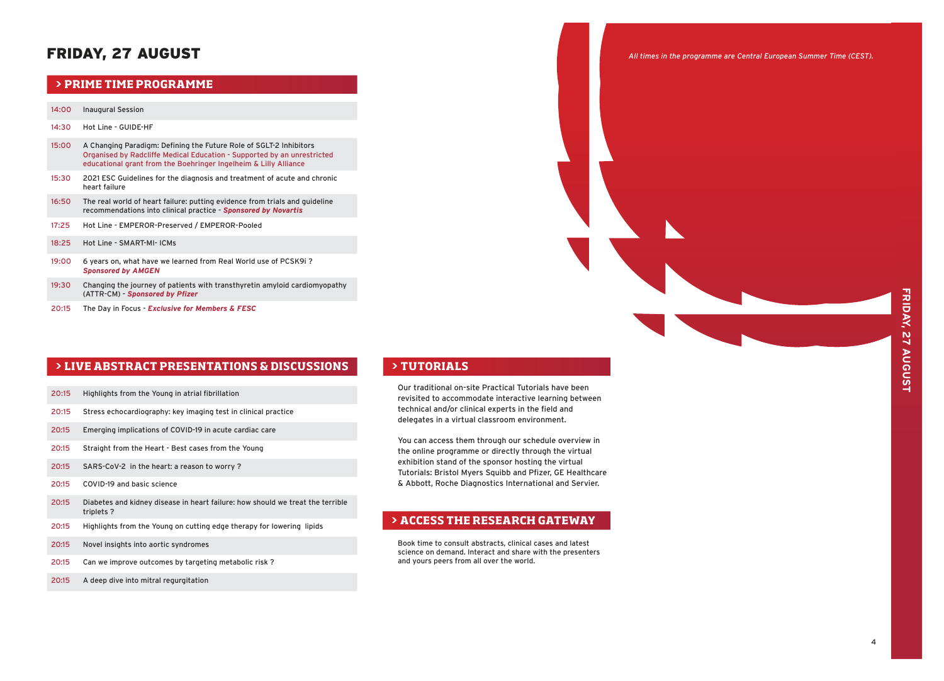# FRIDAY, 27 AUGUST

### **PRIME TIME PROGRAMME**

### 14:00 Inaugural Session

- 14:30 Hot Line GUIDE-HF
- 15:00 A Changing Paradigm: Defining the Future Role of SGLT-2 Inhibitors Organised by Radcliffe Medical Education - Supported by an unrestricted educational grant from the Boehringer Ingelheim & Lilly Alliance
- 15:30 2021 ESC Guidelines for the diagnosis and treatment of acute and chronic heart failure
- 16:50 The real world of heart failure: putting evidence from trials and guideline recommendations into clinical practice - *Sponsored by Novartis*
- 17:25 Hot Line EMPEROR-Preserved / EMPEROR-Pooled
- 18:25 Hot Line SMART-MI- ICMs
- 19:00 6 years on, what have we learned from Real World use of PCSK9i ? *Sponsored by AMGEN*
- 19:30 Changing the journey of patients with transthyretin amyloid cardiomyopathy (ATTR-CM) - *Sponsored by Pfizer*
- 20:15 The Day in Focus *Exclusive for Members & FESC*

### **> LIVE ABSTRACT PRESENTATIONS & DISCUSSIONS**

- 20:15 Highlights from the Young in atrial fibrillation
- 20:15 Stress echocardiography: key imaging test in clinical practice
- 20:15 Emerging implications of COVID-19 in acute cardiac care
- 20:15 Straight from the Heart Best cases from the Young
- 20:15 SARS-CoV-2 in the heart: a reason to worry ?
- 20:15 COVID-19 and basic science
- 20:15 Diabetes and kidney disease in heart failure: how should we treat the terrible triplets ?
- 20:15 Highlights from the Young on cutting edge therapy for lowering lipids
- 20:15 Novel insights into aortic syndromes
- 20:15 Can we improve outcomes by targeting metabolic risk ?
- 20:15 A deep dive into mitral regurgitation

### **> TUTORIALS**

Our traditional on-site Practical Tutorials have been revisited to accommodate interactive learning between technical and/or clinical experts in the field and delegates in a virtual classroom environment.

You can access them through our schedule overview in the online programme or directly through the virtual exhibition stand of the sponsor hosting the virtual Tutorials: Bristol Myers Squibb and Pfizer, GE Healthcare & Abbott, Roche Diagnostics International and Servier.

# **> ACCESS THE RESEARCH GATEWAY**

Book time to consult abstracts, clinical cases and latest science on demand. Interact and share with the presenters and yours peers from all over the world.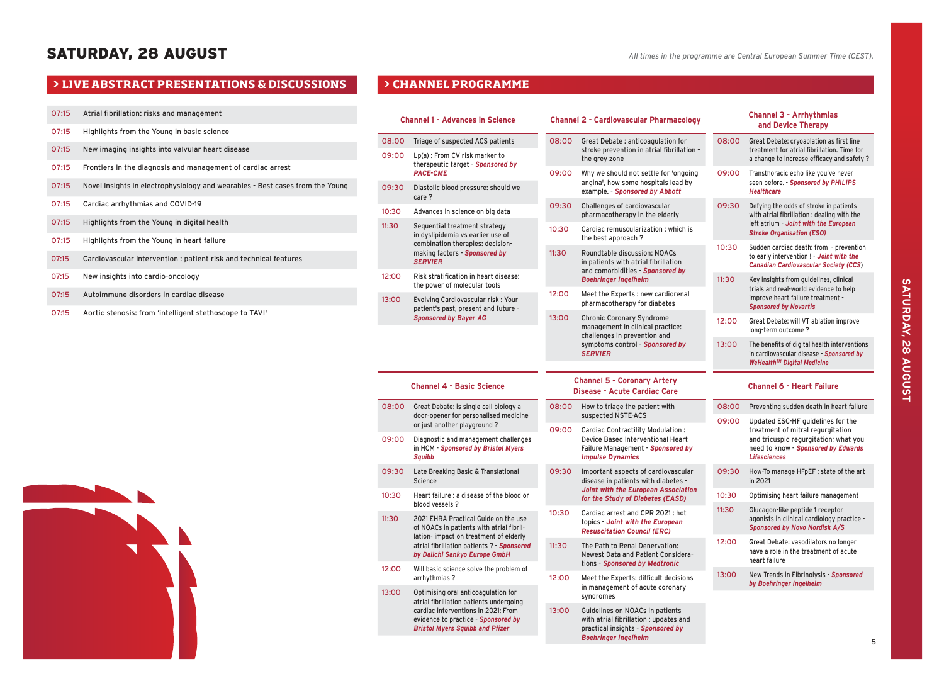- O7:15 Atrial fibrillation: risks and management
- O7:15 Highlights from the Young in basic science
- O7:15 New imaging insights into valvular heart disease
- O7:15 Frontiers in the diagnosis and management of cardiac arrest
- O7:15 Novel insights in electrophysiology and wearables Best cases from the Young
- O7:15 Cardiac arrhythmias and COVID-19
- O7:15 Highlights from the Young in digital health
- O7:15 Highlights from the Young in heart failure
- 07:15 Cardiovascular intervention : patient risk and technical features
- 07:15 New insights into cardio-oncology
- O7:15 Autoimmune disorders in cardiac disease
- O7:15 Aortic stenosis: from 'intelligent stethoscope to TAVI'

|                | <b>Channel 1 - Advances in Science</b>                                                                               |                                                                               | <b>Channel 2 - Cardiovascular Pharmacology</b>                                                                                                |       | <b>Channel 3 - Arrhythmias</b><br>and Device Therapy                                                                                                                          |
|----------------|----------------------------------------------------------------------------------------------------------------------|-------------------------------------------------------------------------------|-----------------------------------------------------------------------------------------------------------------------------------------------|-------|-------------------------------------------------------------------------------------------------------------------------------------------------------------------------------|
| 08:00<br>09:00 | Triage of suspected ACS patients<br>Lp(a): From CV risk marker to                                                    | 08:00                                                                         | Great Debate: anticoagulation for<br>stroke prevention in atrial fibrillation -                                                               | 08:00 | Great Debate: cryoablation as first line<br>treatment for atrial fibrillation. Time for                                                                                       |
|                | therapeutic target - Sponsored by<br><b>PACE-CME</b>                                                                 | 09:00                                                                         | the grey zone<br>Why we should not settle for 'ongoing                                                                                        |       | a change to increase efficacy and safety ?<br>Transthoracic echo like you've never                                                                                            |
| 09:30          | Diastolic blood pressure: should we<br>care ?                                                                        |                                                                               | angina', how some hospitals lead by<br>example. - Sponsored by Abbott                                                                         |       | seen before. - Sponsored by PHILIPS<br><b>Healthcare</b>                                                                                                                      |
| 10:30          | Advances in science on big data                                                                                      | 09:30                                                                         | Challenges of cardiovascular<br>pharmacotherapy in the elderly                                                                                | 09:30 | Defying the odds of stroke in patients<br>with atrial fibrillation : dealing with the                                                                                         |
| 11:30          | Sequential treatment strategy<br>in dyslipidemia vs earlier use of                                                   | 10:30                                                                         | Cardiac remuscularization : which is<br>the best approach?                                                                                    |       | left atrium - Joint with the European<br><b>Stroke Organisation (ESO)</b>                                                                                                     |
|                | combination therapies: decision-<br>making factors - Sponsored by<br><b>SERVIER</b>                                  | 11:30<br>Roundtable discussion: NOACs<br>in patients with atrial fibrillation |                                                                                                                                               | 10:30 | Sudden cardiac death: from - prevention<br>to early intervention ! - Joint with the<br><b>Canadian Cardiovascular Society (CCS)</b>                                           |
| 12:00          | Risk stratification in heart disease:<br>the power of molecular tools                                                |                                                                               | and comorbidities - Sponsored by<br><b>Boehringer Ingelheim</b>                                                                               | 11:30 | Key insights from guidelines, clinical<br>trials and real-world evidence to help                                                                                              |
| 13:00          | Evolving Cardiovascular risk: Your<br>patient's past, present and future -                                           | 12:00<br>Meet the Experts : new cardiorenal<br>pharmacotherapy for diabetes   |                                                                                                                                               |       | improve heart failure treatment -<br><b>Sponsored by Novartis</b>                                                                                                             |
|                | <b>Sponsored by Bayer AG</b>                                                                                         | 13:00                                                                         | <b>Chronic Coronary Syndrome</b><br>management in clinical practice:                                                                          | 12:00 | Great Debate: will VT ablation improve<br>long-term outcome?                                                                                                                  |
|                |                                                                                                                      |                                                                               | challenges in prevention and<br>symptoms control - Sponsored by<br><b>SERVIER</b>                                                             | 13:00 | The benefits of digital health interventions<br>in cardiovascular disease - Sponsored by<br>WeHealth™ Digital Medicine                                                        |
|                | <b>Channel 4 - Basic Science</b>                                                                                     |                                                                               | <b>Channel 5 - Coronary Artery</b><br>Disease - Acute Cardiac Care                                                                            |       | <b>Channel 6 - Heart Failure</b>                                                                                                                                              |
| 08:00          | Great Debate: is single cell biology a<br>door-opener for personalised medicine                                      | 08:00                                                                         | How to triage the patient with<br>suspected NSTE-ACS                                                                                          | 08:00 | Preventing sudden death in heart failure                                                                                                                                      |
|                | or just another playground?                                                                                          | 09:00                                                                         | Cardiac Contractility Modulation:                                                                                                             | 09:00 | Updated ESC-HF guidelines for the<br>treatment of mitral regurgitation<br>and tricuspid regurgitation; what you<br>need to know - Sponsored by Edwards<br><b>Lifesciences</b> |
| 09:00          | Diagnostic and management challenges<br>in HCM - Sponsored by Bristol Myers<br><b>Squibb</b>                         |                                                                               | Device Based Interventional Heart<br>Failure Management - Sponsored by<br><b>Impulse Dynamics</b>                                             |       |                                                                                                                                                                               |
| 09:30          | Late Breaking Basic & Translational<br>Science                                                                       | 09:30                                                                         | Important aspects of cardiovascular<br>disease in patients with diabetes -                                                                    | 09:30 | How-To manage HFpEF : state of the art<br>in 2021                                                                                                                             |
| 10:30          | Heart failure : a disease of the blood or                                                                            |                                                                               | Joint with the European Association<br>for the Study of Diabetes (EASD)                                                                       | 10:30 | Optimising heart failure management                                                                                                                                           |
| 11:30          | blood vessels ?<br>2021 EHRA Practical Guide on the use<br>of NOACs in patients with atrial fibril-                  | 10:30                                                                         | Cardiac arrest and CPR 2021: hot<br>topics - Joint with the European<br><b>Resuscitation Council (ERC)</b>                                    | 11:30 | Glucagon-like peptide 1 receptor<br>agonists in clinical cardiology practice -<br><b>Sponsored by Novo Nordisk A/S</b>                                                        |
|                | lation-impact on treatment of elderly<br>atrial fibrillation patients ? - Sponsored<br>by Daiichi Sankyo Europe GmbH |                                                                               | The Path to Renal Denervation:<br>Newest Data and Patient Considera-                                                                          | 12:00 | Great Debate: vasodilators no longer<br>have a role in the treatment of acute<br>heart failure                                                                                |
| 12:00          | Will basic science solve the problem of<br>arrhythmias?                                                              | 12:00                                                                         | tions - Sponsored by Medtronic<br>Meet the Experts: difficult decisions                                                                       | 13:00 | New Trends in Fibrinolysis - Sponsored<br>by Boehringer Ingelheim                                                                                                             |
| 13:00          | Optimising oral anticoagulation for<br>atrial fibrillation patients undergoing                                       |                                                                               | in management of acute coronary<br>syndromes                                                                                                  |       |                                                                                                                                                                               |
|                | cardiac interventions in 2021: From<br>evidence to practice - Sponsored by<br><b>Bristol Myers Squibb and Pfizer</b> | 13:00                                                                         | Guidelines on NOACs in patients<br>with atrial fibrillation : updates and<br>practical insights - Sponsored by<br><b>Boehringer Ingelheim</b> |       |                                                                                                                                                                               |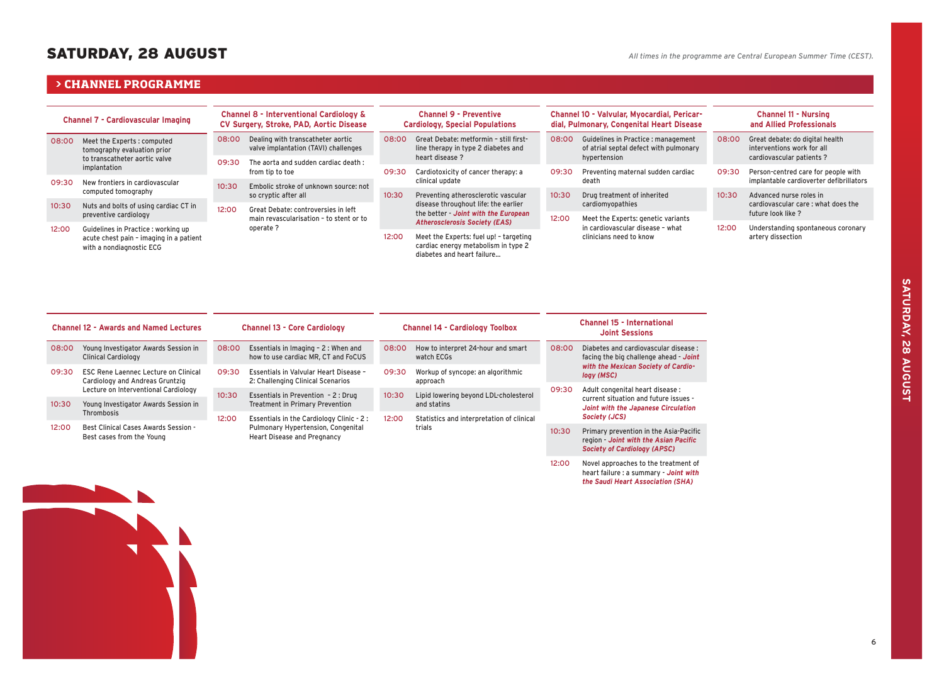# SATURDAY, 28 AUGUST

### $\triangleright$  **CHANNEL PROGRAMME**

| <b>Channel 7 - Cardiovascular Imaging</b> |                                                                     | <b>Channel 8 - Interventional Cardiology &amp;</b><br>CV Surgery, Stroke, PAD, Aortic Disease |                                                                           |                                      | <b>Channel 9 - Preventive</b><br><b>Cardiology, Special Populations</b>                                     |              | Channel 10 - Valvular, Myocardial, Pericar-<br>dial, Pulmonary, Congenital Heart Disease | <b>Channel 11 - Nursing</b><br>and Allied Professionals |                                                                                            |  |  |
|-------------------------------------------|---------------------------------------------------------------------|-----------------------------------------------------------------------------------------------|---------------------------------------------------------------------------|--------------------------------------|-------------------------------------------------------------------------------------------------------------|--------------|------------------------------------------------------------------------------------------|---------------------------------------------------------|--------------------------------------------------------------------------------------------|--|--|
| 08:00                                     | Meet the Experts: computed<br>tomography evaluation prior           |                                                                                               | Dealing with transcatheter aortic<br>valve implantation (TAVI) challenges | 08:00                                | Great Debate: metformin - still first-<br>line therapy in type 2 diabetes and<br>heart disease ?            | 08:00        | Guidelines in Practice : management<br>08:00<br>of atrial septal defect with pulmonary   |                                                         | Great debate: do digital health<br>interventions work for all<br>cardiovascular patients ? |  |  |
| to transcatheter aortic valve             | 09:30                                                               | The aorta and sudden cardiac death:                                                           |                                                                           |                                      |                                                                                                             | hypertension |                                                                                          |                                                         |                                                                                            |  |  |
|                                           | implantation                                                        |                                                                                               | from tip to toe                                                           | 09:30                                | Cardiotoxicity of cancer therapy: a                                                                         |              | Preventing maternal sudden cardiac                                                       | 09:30                                                   | Person-centred care for people with                                                        |  |  |
| 09:30                                     | New frontiers in cardiovascular                                     |                                                                                               |                                                                           |                                      | clinical update                                                                                             |              | death                                                                                    |                                                         | implantable cardioverter defibrillators                                                    |  |  |
|                                           | computed tomography                                                 | 10:30                                                                                         | Embolic stroke of unknown source: not<br>so cryptic after all             | 10:30                                | Preventing atherosclerotic vascular                                                                         | 10:30        | Drug treatment of inherited                                                              | 10:30                                                   | Advanced nurse roles in<br>cardiovascular care: what does the                              |  |  |
| 10:30                                     | Nuts and bolts of using cardiac CT in                               | 12:00                                                                                         | Great Debate: controversies in left                                       |                                      | disease throughout life: the earlier                                                                        |              | cardiomyopathies                                                                         |                                                         |                                                                                            |  |  |
|                                           | preventive cardiology                                               |                                                                                               | main revascularisation - to stent or to                                   | the better - Joint with the European |                                                                                                             | 12:00        | Meet the Experts: genetic variants                                                       |                                                         | future look like ?                                                                         |  |  |
| 12:00                                     | Guidelines in Practice : working up                                 |                                                                                               | operate ?                                                                 | <b>Atherosclerosis Society (EAS)</b> |                                                                                                             |              | in cardiovascular disease - what                                                         | 12:00                                                   | Understanding spontaneous coronary                                                         |  |  |
|                                           | acute chest pain - imaging in a patient<br>with a nondiagnostic ECG |                                                                                               |                                                                           |                                      | Meet the Experts: fuel up! - targeting<br>cardiac energy metabolism in type 2<br>diabetes and heart failure |              | clinicians need to know                                                                  |                                                         | artery dissection                                                                          |  |  |

| <b>Channel 12 - Awards and Named Lectures</b> |                                                                                |                                                                          | <b>Channel 13 - Core Cardiology</b>                                                                                                      |       | <b>Channel 14 - Cardiology Toolbox</b>        | <b>Channel 15 - International</b><br><b>Joint Sessions</b> |                                                                                                                        |  |
|-----------------------------------------------|--------------------------------------------------------------------------------|--------------------------------------------------------------------------|------------------------------------------------------------------------------------------------------------------------------------------|-------|-----------------------------------------------|------------------------------------------------------------|------------------------------------------------------------------------------------------------------------------------|--|
| 08:00                                         | Young Investigator Awards Session in<br><b>Clinical Cardiology</b>             | 08:00                                                                    | How to interpret 24-hour and smart<br>Essentials in Imaging - 2 : When and<br>08:00<br>how to use cardiac MR. CT and FoCUS<br>watch ECGs |       |                                               | 08:00                                                      | Diabetes and cardiovascular disease:<br>facing the big challenge ahead - Joint                                         |  |
| 09:30                                         | <b>ESC Rene Laennec Lecture on Clinical</b><br>Cardiology and Andreas Gruntzig | 09:30                                                                    | Essentials in Valvular Heart Disease -<br>2: Challenging Clinical Scenarios                                                              | 09:30 | Workup of syncope: an algorithmic<br>approach |                                                            | with the Mexican Society of Cardio-<br>logy (MSC)                                                                      |  |
|                                               | Lecture on Interventional Cardiology                                           | 10:30                                                                    | Essentials in Prevention - 2 : Drug                                                                                                      |       | Lipid lowering beyond LDL-cholesterol         | 09:30                                                      | Adult congenital heart disease :<br>current situation and future issues -                                              |  |
| 10:30                                         | Young Investigator Awards Session in<br><b>Thrombosis</b>                      |                                                                          | <b>Treatment in Primary Prevention</b>                                                                                                   |       | and statins                                   |                                                            | Joint with the Japanese Circulation<br>Society (JCS)                                                                   |  |
|                                               |                                                                                | 12:00                                                                    | Essentials in the Cardiology Clinic - 2:                                                                                                 | 12:00 | Statistics and interpretation of clinical     |                                                            |                                                                                                                        |  |
| 12:00                                         | Best Clinical Cases Awards Session -<br>Best cases from the Young              | Pulmonary Hypertension, Congenital<br><b>Heart Disease and Pregnancy</b> |                                                                                                                                          |       | trials                                        | 10:30                                                      | Primary prevention in the Asia-Pacific<br>region - Joint with the Asian Pacific<br><b>Society of Cardiology (APSC)</b> |  |
|                                               |                                                                                |                                                                          |                                                                                                                                          |       |                                               | 12:00                                                      | Novel approaches to the treatment of<br>heart failure : a summary - Joint with                                         |  |



*the Saudi Heart Association (SHA)*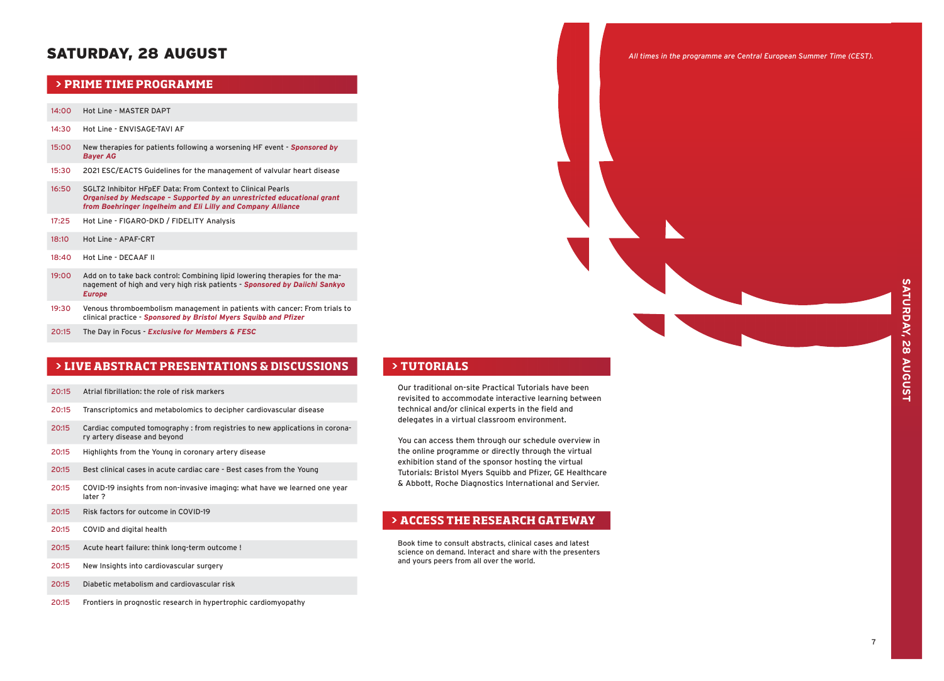# SATURDAY, 28 AUGUST

# **PRIME TIME PROGRAMME**

- 14:00 Hot Line MASTER DAPT
- 14:30 Hot Line ENVISAGE-TAVI AF
- 15:00 New therapies for patients following a worsening HF event *Sponsored by Bayer AG*
- 15:30 2021 ESC/EACTS Guidelines for the management of valvular heart disease
- 16:50 SGLT2 Inhibitor HFpEF Data: From Context to Clinical Pearls *Organised by Medscape – Supported by an unrestricted educational grant from Boehringer Ingelheim and Eli Lilly and Company Alliance*
- 17:25 Hot Line FIGARO-DKD / FIDELITY Analysis
- 18:10 Hot Line APAF-CRT
- 18:40 Hot Line DECAAF II
- 19:00 Add on to take back control: Combining lipid lowering therapies for the management of high and very high risk patients - *Sponsored by Daiichi Sankyo Europe*
- 19:30 Venous thromboembolism management in patients with cancer: From trials to clinical practice - *Sponsored by Bristol Myers Squibb and Pfizer*
- 20:15 The Day in Focus *Exclusive for Members & FESC*

# **> CHANNEL BY TOPIC PROGRAMME > LIVE ABSTRACT PRESENTATIONS & DISCUSSIONS**

- 20:15 Atrial fibrillation: the role of risk markers
- 20:15 Transcriptomics and metabolomics to decipher cardiovascular disease
- 20:15 Cardiac computed tomography : from registries to new applications in coronary artery disease and beyond
- 20:15 Highlights from the Young in coronary artery disease
- 20:15 Best clinical cases in acute cardiac care Best cases from the Young
- 20:15 COVID-19 insights from non-invasive imaging: what have we learned one year later ?
- 20:15 Risk factors for outcome in COVID-19
- 20:15 COVID and digital health
- 20:15 Acute heart failure: think long-term outcome !
- 20:15 New Insights into cardiovascular surgery
- 20:15 Diabetic metabolism and cardiovascular risk
- 20:15 Frontiers in prognostic research in hypertrophic cardiomyopathy

### **> TUTORIALS**

Our traditional on-site Practical Tutorials have been revisited to accommodate interactive learning between technical and/or clinical experts in the field and delegates in a virtual classroom environment.

You can access them through our schedule overview in the online programme or directly through the virtual exhibition stand of the sponsor hosting the virtual Tutorials: Bristol Myers Squibb and Pfizer, GE Healthcare & Abbott, Roche Diagnostics International and Servier.

# **> ACCESS THE RESEARCH GATEWAY**

Book time to consult abstracts, clinical cases and latest science on demand. Interact and share with the presenters and yours peers from all over the world.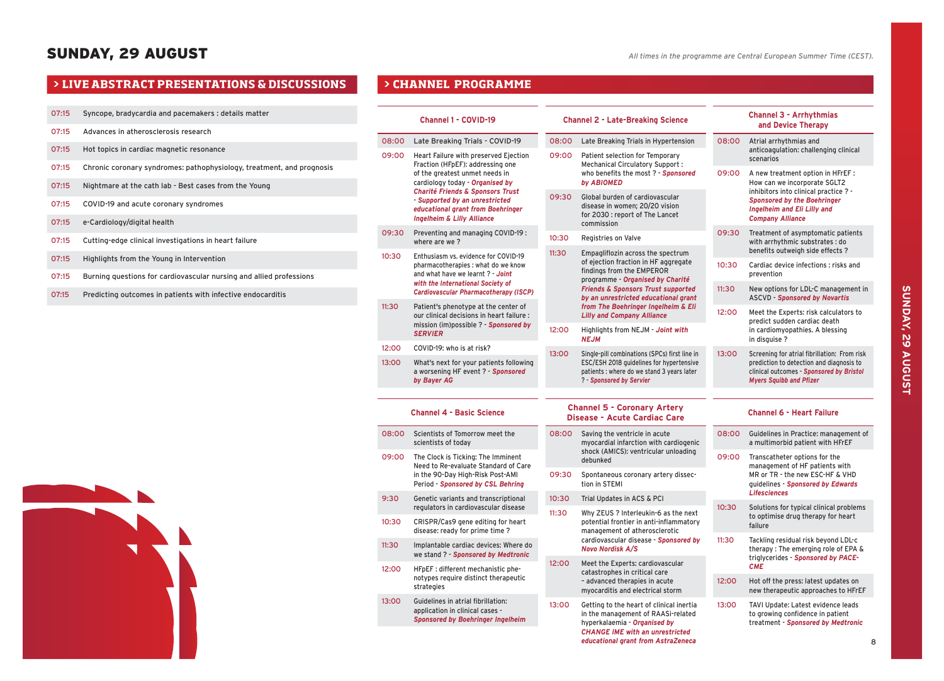- 07:15 Syncope, bradycardia and pacemakers : details matter
- 07:15 Advances in atherosclerosis research
- 07:15 Hot topics in cardiac magnetic resonance
- 07:15 Chronic coronary syndromes: pathophysiology, treatment, and prognosis
- 07:15 Nightmare at the cath lab Best cases from the Young
- 07:15 COVID-19 and acute coronary syndromes
- 07:15 e-Cardiology/digital health
- 07:15 Cutting-edge clinical investigations in heart failure
- 07:15 Highlights from the Young in Intervention
- 07:15 Burning questions for cardiovascular nursing and allied professions
- 07:15 Predicting outcomes in patients with infective endocarditis

|       | <b>Channel 1 - COVID-19</b>                                                                                                                                 |                | <b>Channel 2 - Late-Breaking Science</b>                                                                                                                 |       | <b>Channel 3 - Arrhythmias</b><br>and Device Therapy                                                             |  |
|-------|-------------------------------------------------------------------------------------------------------------------------------------------------------------|----------------|----------------------------------------------------------------------------------------------------------------------------------------------------------|-------|------------------------------------------------------------------------------------------------------------------|--|
| 08:00 | Late Breaking Trials - COVID-19                                                                                                                             | 08:00          | Late Breaking Trials in Hypertension                                                                                                                     | 08:00 | Atrial arrhythmias and                                                                                           |  |
| 09:00 | Heart Failure with preserved Ejection<br>Fraction (HFpEF): addressing one                                                                                   |                | Patient selection for Temporary<br><b>Mechanical Circulatory Support:</b>                                                                                |       | anticoagulation: challenging clinical<br>scenarios                                                               |  |
|       | of the greatest unmet needs in<br>cardiology today - Organised by                                                                                           |                | who benefits the most ? - Sponsored<br>by ABIOMED                                                                                                        | 09:00 | A new treatment option in HFrEF:<br>How can we incorporate SGLT2<br>inhibitors into clinical practice ? -        |  |
|       | <b>Charité Friends &amp; Sponsors Trust</b><br>- Supported by an unrestricted<br>educational grant from Boehringer<br><b>Ingelheim &amp; Lilly Alliance</b> | 09:30          | Global burden of cardiovascular<br>disease in women; 20/20 vision<br>for 2030 : report of The Lancet<br>commission                                       |       | <b>Sponsored by the Boehringer</b><br>Ingelheim and Eli Lilly and<br><b>Company Alliance</b>                     |  |
| 09:30 | Preventing and managing COVID-19:<br>where are we?                                                                                                          | 10:30<br>11:30 | Registries on Valve                                                                                                                                      | 09:30 | Treatment of asymptomatic patients<br>with arrhythmic substrates : do<br>benefits outweigh side effects ?        |  |
| 10:30 | Enthusiasm vs. evidence for COVID-19<br>pharmacotherapies : what do we know<br>and what have we learnt ? - Joint                                            |                | Empagliflozin across the spectrum<br>of ejection fraction in HF aggregate<br>findings from the EMPEROR<br>programme - Organised by Charité               | 10:30 | Cardiac device infections : risks and<br>prevention                                                              |  |
|       | with the International Society of<br>Cardiovascular Pharmacotherapy (ISCP)                                                                                  |                | <b>Friends &amp; Sponsors Trust supported</b><br>by an unrestricted educational grant                                                                    | 11:30 | New options for LDL-C management in<br><b>ASCVD - Sponsored by Novartis</b>                                      |  |
| 11:30 | Patient's phenotype at the center of<br>our clinical decisions in heart failure :<br>mission (im)possible ? - Sponsored by                                  |                | from The Boehringer Ingelheim & Eli<br><b>Lilly and Company Alliance</b>                                                                                 | 12:00 | Meet the Experts: risk calculators to<br>predict sudden cardiac death                                            |  |
|       | <b>SERVIER</b>                                                                                                                                              | 12:00          | Highlights from NEJM - Joint with<br><b>NEJM</b>                                                                                                         |       | in cardiomyopathies. A blessing<br>in disguise?                                                                  |  |
| 12:00 | COVID-19: who is at risk?                                                                                                                                   | 13:00          | Single-pill combinations (SPCs) first line in<br>ESC/ESH 2018 guidelines for hypertensive                                                                | 13:00 | Screening for atrial fibrillation: From risk<br>prediction to detection and diagnosis to                         |  |
| 13:00 | What's next for your patients following<br>a worsening HF event ? - Sponsored<br>by Bayer AG                                                                |                | patients : where do we stand 3 years later<br>? - Sponsored by Servier                                                                                   |       | clinical outcomes - Sponsored by Bristol<br><b>Myers Squibb and Pfizer</b>                                       |  |
|       |                                                                                                                                                             |                |                                                                                                                                                          |       |                                                                                                                  |  |
|       | <b>Channel 4 - Basic Science</b>                                                                                                                            |                | <b>Channel 5 - Coronary Artery</b><br><b>Disease - Acute Cardiac Care</b>                                                                                |       | <b>Channel 6 - Heart Failure</b>                                                                                 |  |
| 08:00 | Scientists of Tomorrow meet the<br>scientists of today                                                                                                      | 08:00          | Saving the ventricle in acute<br>myocardial infarction with cardiogenic                                                                                  | 08:00 | Guidelines in Practice: management of<br>a multimorbid patient with HFrEF                                        |  |
| 09:00 | The Clock is Ticking: The Imminent<br>Need to Re-evaluate Standard of Care                                                                                  |                | shock (AMICS): ventricular unloading<br>debunked                                                                                                         |       | Transcatheter options for the<br>management of HF patients with                                                  |  |
|       | in the 90-Day High-Risk Post-AMI<br>Period - Sponsored by CSL Behring                                                                                       | 09:30          | Spontaneous coronary artery dissec-<br>tion in STEMI                                                                                                     |       | MR or TR - the new ESC-HF & VHD<br>guidelines - Sponsored by Edwards                                             |  |
| 9:30  | Genetic variants and transcriptional<br>regulators in cardiovascular disease                                                                                | 10:30          | Trial Updates in ACS & PCI                                                                                                                               | 10:30 | <b>Lifesciences</b><br>Solutions for typical clinical problems                                                   |  |
| 10:30 | CRISPR/Cas9 gene editing for heart<br>disease: ready for prime time?                                                                                        | 11:30          | Why ZEUS ? Interleukin-6 as the next<br>potential frontier in anti-inflammatory<br>management of atherosclerotic                                         |       | to optimise drug therapy for heart<br>failure                                                                    |  |
| 11:30 | Implantable cardiac devices: Where do<br>we stand ? - Sponsored by Medtronic                                                                                |                | cardiovascular disease - Sponsored by<br><b>Novo Nordisk A/S</b>                                                                                         | 11:30 | Tackling residual risk beyond LDL-c<br>therapy: The emerging role of EPA &<br>triglycerides - Sponsored by PACE- |  |
| 12:00 | HFpEF : different mechanistic phe-                                                                                                                          | 12:00          | Meet the Experts: cardiovascular<br>catastrophes in critical care                                                                                        |       | <b>CME</b>                                                                                                       |  |
|       | notypes require distinct therapeutic<br>strategies                                                                                                          |                | - advanced therapies in acute<br>myocarditis and electrical storm                                                                                        | 12:00 | Hot off the press: latest updates on<br>new therapeutic approaches to HFrEF                                      |  |
| 13:00 | Guidelines in atrial fibrillation:<br>application in clinical cases -<br><b>Sponsored by Boehringer Ingelheim</b>                                           | 13:00          | Getting to the heart of clinical inertia<br>in the management of RAASi-related<br>hyperkalaemia - Organised by<br><b>CHANGE IME with an unrestricted</b> | 13:00 | TAVI Update: Latest evidence leads<br>to growing confidence in patient<br>treatment - Sponsored by Medtronic     |  |
|       |                                                                                                                                                             |                | educational grant from AstraZeneca                                                                                                                       |       | 8                                                                                                                |  |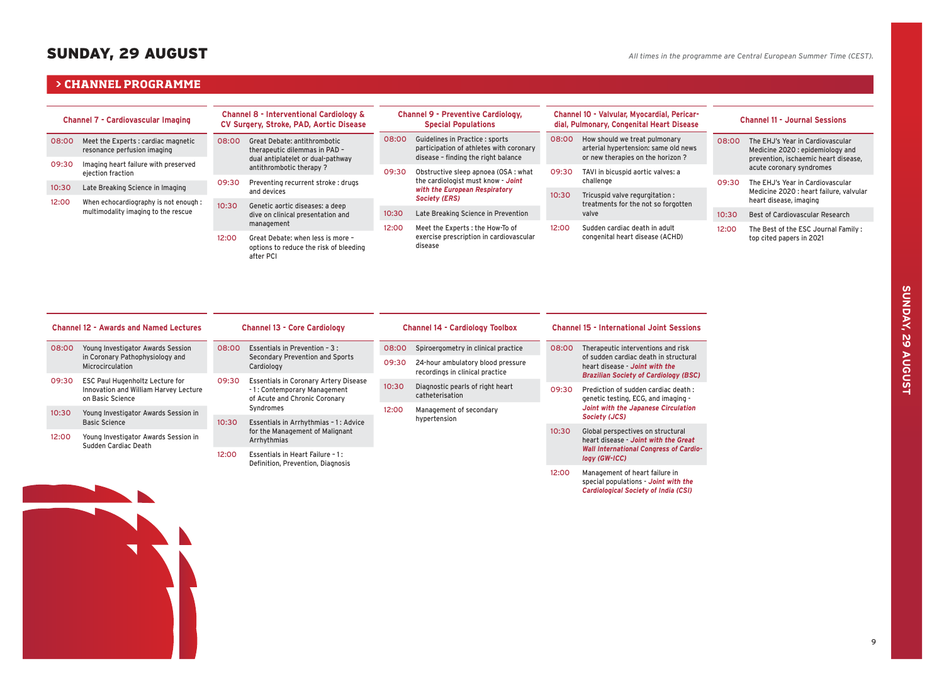*Cardiological Society of India (CSI)*

# SUNDAY, 29 AUGUST

### $\triangleright$  **CHANNEL PROGRAMME**

| <b>Channel 7 - Cardiovascular Imaging</b> |                                                                    | <b>Channel 8 - Interventional Cardiology &amp;</b><br>CV Surgery, Stroke, PAD, Aortic Disease |                                                                                                                                                 |       | <b>Channel 9 - Preventive Cardiology,</b><br><b>Special Populations</b>                                           |       | Channel 10 - Valvular, Myocardial, Pericar-<br>dial, Pulmonary, Congenital Heart Disease                  |       | <b>Channel 11 - Journal Sessions</b>                                                                         |  |
|-------------------------------------------|--------------------------------------------------------------------|-----------------------------------------------------------------------------------------------|-------------------------------------------------------------------------------------------------------------------------------------------------|-------|-------------------------------------------------------------------------------------------------------------------|-------|-----------------------------------------------------------------------------------------------------------|-------|--------------------------------------------------------------------------------------------------------------|--|
| 08:00                                     | Meet the Experts : cardiac magnetic<br>resonance perfusion imaging | 08:00                                                                                         | 08:00<br>Great Debate: antithrombotic<br>therapeutic dilemmas in PAD -<br>dual antiplatelet or dual-pathway<br>antithrombotic therapy?<br>09:30 |       | Guidelines in Practice : sports<br>participation of athletes with coronary<br>disease - finding the right balance | 08:00 | How should we treat pulmonary<br>arterial hypertension: same old news<br>or new therapies on the horizon? | 08:00 | The EHJ's Year in Cardiovascular<br>Medicine 2020 : epidemiology and<br>prevention, ischaemic heart disease, |  |
| 09:30                                     | Imaging heart failure with preserved<br>ejection fraction          |                                                                                               |                                                                                                                                                 |       | Obstructive sleep apnoea (OSA: what<br>09:30                                                                      |       | TAVI in bicuspid aortic valves: a                                                                         |       | acute coronary syndromes                                                                                     |  |
|                                           |                                                                    | 09:30                                                                                         | Preventing recurrent stroke: drugs                                                                                                              |       | the cardiologist must know - Joint<br>with the European Respiratory<br><b>Society (ERS)</b>                       |       | challenge                                                                                                 | 09:30 | The EHJ's Year in Cardiovascular                                                                             |  |
| 10:30                                     | Late Breaking Science in Imaging                                   |                                                                                               | and devices                                                                                                                                     |       |                                                                                                                   | 10:30 | Tricuspid valve regurgitation:                                                                            |       | Medicine 2020 : heart failure, valvular                                                                      |  |
| 12:00                                     | When echocardiography is not enough :                              | 10:30                                                                                         | Genetic aortic diseases: a deep                                                                                                                 |       |                                                                                                                   |       | treatments for the not so forgotten                                                                       |       | heart disease, imaging                                                                                       |  |
|                                           | multimodality imaging to the rescue                                |                                                                                               | dive on clinical presentation and                                                                                                               | 10:30 | Late Breaking Science in Prevention                                                                               |       | valve                                                                                                     | 10:30 | Best of Cardiovascular Research                                                                              |  |
|                                           |                                                                    | management<br>12:00<br>Meet the Experts : the How-To of                                       |                                                                                                                                                 | 12:00 | Sudden cardiac death in adult                                                                                     | 12:00 | The Best of the ESC Journal Family:                                                                       |       |                                                                                                              |  |
|                                           |                                                                    | 12:00                                                                                         | Great Debate: when less is more -<br>options to reduce the risk of bleeding<br>after PCI                                                        |       | exercise prescription in cardiovascular<br>disease                                                                |       | congenital heart disease (ACHD)                                                                           |       | top cited papers in 2021                                                                                     |  |

| <b>Channel 12 - Awards and Named Lectures</b> |                                                              | <b>Channel 13 - Core Cardiology</b>                                                                                            |                                               |       | <b>Channel 14 - Cardiology Toolbox</b>                               | <b>Channel 15 - International Joint Sessions</b> |                                                                                                                         |  |  |
|-----------------------------------------------|--------------------------------------------------------------|--------------------------------------------------------------------------------------------------------------------------------|-----------------------------------------------|-------|----------------------------------------------------------------------|--------------------------------------------------|-------------------------------------------------------------------------------------------------------------------------|--|--|
| 08:00                                         | Young Investigator Awards Session                            |                                                                                                                                | 08:00<br>Essentials in Prevention - 3 :       |       | Spiroergometry in clinical practice<br>08:00                         |                                                  | Therapeutic interventions and risk                                                                                      |  |  |
|                                               | in Coronary Pathophysiology and<br><b>Microcirculation</b>   |                                                                                                                                | Secondary Prevention and Sports<br>Cardiology | 09:30 | 24-hour ambulatory blood pressure<br>recordings in clinical practice |                                                  | of sudden cardiac death in structural<br>heart disease - Joint with the<br><b>Brazilian Society of Cardiology (BSC)</b> |  |  |
| 09:30                                         | ESC Paul Hugenholtz Lecture for                              | 09:30<br><b>Essentials in Coronary Artery Disease</b><br>10:30<br>-1: Contemporary Management<br>of Acute and Chronic Coronary |                                               |       |                                                                      |                                                  |                                                                                                                         |  |  |
|                                               | Innovation and William Harvey Lecture<br>on Basic Science    |                                                                                                                                |                                               |       | Diagnostic pearls of right heart<br>catheterisation                  | 09:30                                            | Prediction of sudden cardiac death:<br>genetic testing, ECG, and imaging -                                              |  |  |
|                                               |                                                              | Syndromes                                                                                                                      |                                               | 12:00 | Management of secondary                                              |                                                  | Joint with the Japanese Circulation                                                                                     |  |  |
| 10:30                                         | Young Investigator Awards Session in<br><b>Basic Science</b> | 10:30                                                                                                                          | Essentials in Arrhythmias - 1: Advice         |       | hypertension                                                         |                                                  | Society (JCS)                                                                                                           |  |  |
|                                               |                                                              |                                                                                                                                | for the Management of Malignant               |       |                                                                      | 10:30                                            | Global perspectives on structural                                                                                       |  |  |
| 12:00                                         | Young Investigator Awards Session in<br>Sudden Cardiac Death | Arrhythmias                                                                                                                    |                                               |       |                                                                      |                                                  | heart disease - Joint with the Great                                                                                    |  |  |
|                                               |                                                              | 12:00<br>Essentials in Heart Failure - 1:                                                                                      |                                               |       |                                                                      |                                                  | <b>Wall International Congress of Cardio-</b><br>logy (GW-ICC)                                                          |  |  |
|                                               |                                                              |                                                                                                                                | Definition, Prevention, Diagnosis             |       |                                                                      |                                                  | Management of heart failure in<br>special populations - Joint with the                                                  |  |  |

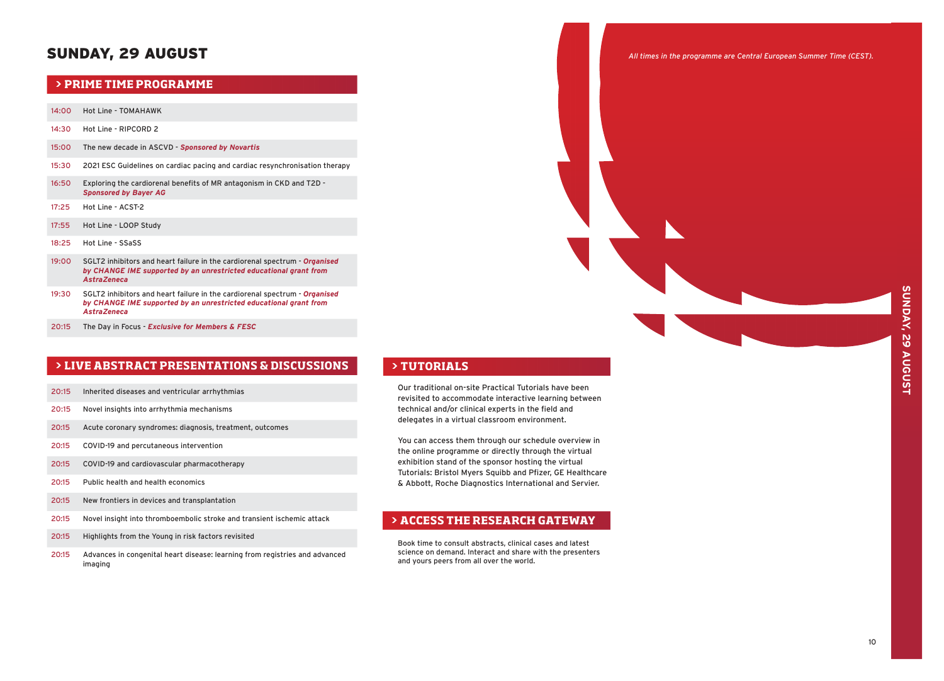# SUNDAY, 29 AUGUST

# **PRIME TIME PROGRAMME**

- 14:00 Hot Line TOMAHAWK
- 14:30 Hot Line RIPCORD 2
- 15:00 The new decade in ASCVD *Sponsored by Novartis*
- 15:30 2021 ESC Guidelines on cardiac pacing and cardiac resynchronisation therapy
- 16:50 Exploring the cardiorenal benefits of MR antagonism in CKD and T2D *Sponsored by Bayer AG*
- 17:25 Hot Line ACST-2
- 17:55 Hot Line LOOP Study
- 18:25 Hot Line SSaSS
- 19:00 SGLT2 inhibitors and heart failure in the cardiorenal spectrum *Organised by CHANGE IME supported by an unrestricted educational grant from AstraZeneca*
- 19:30 SGLT2 inhibitors and heart failure in the cardiorenal spectrum *Organised by CHANGE IME supported by an unrestricted educational grant from AstraZeneca*
- 20:15 The Day in Focus *Exclusive for Members & FESC*

# **> CHANNEL BY TOPIC PROGRAMME > LIVE ABSTRACT PRESENTATIONS & DISCUSSIONS**

- 20:15 Inherited diseases and ventricular arrhythmias
- 20:15 Novel insights into arrhythmia mechanisms
- 20:15 Acute coronary syndromes: diagnosis, treatment, outcomes
- 20:15 COVID-19 and percutaneous intervention
- 20:15 COVID-19 and cardiovascular pharmacotherapy
- 20:15 Public health and health economics
- 20:15 New frontiers in devices and transplantation
- 20:15 Novel insight into thromboembolic stroke and transient ischemic attack
- 20:15 Highlights from the Young in risk factors revisited
- 20:15 Advances in congenital heart disease: learning from registries and advanced imaging

### **> TUTORIALS**

Our traditional on-site Practical Tutorials have been revisited to accommodate interactive learning between technical and/or clinical experts in the field and delegates in a virtual classroom environment.

You can access them through our schedule overview in the online programme or directly through the virtual exhibition stand of the sponsor hosting the virtual Tutorials: Bristol Myers Squibb and Pfizer, GE Healthcare & Abbott, Roche Diagnostics International and Servier.

# **> ACCESS THE RESEARCH GATEWAY**

Book time to consult abstracts, clinical cases and latest science on demand. Interact and share with the presenters and yours peers from all over the world.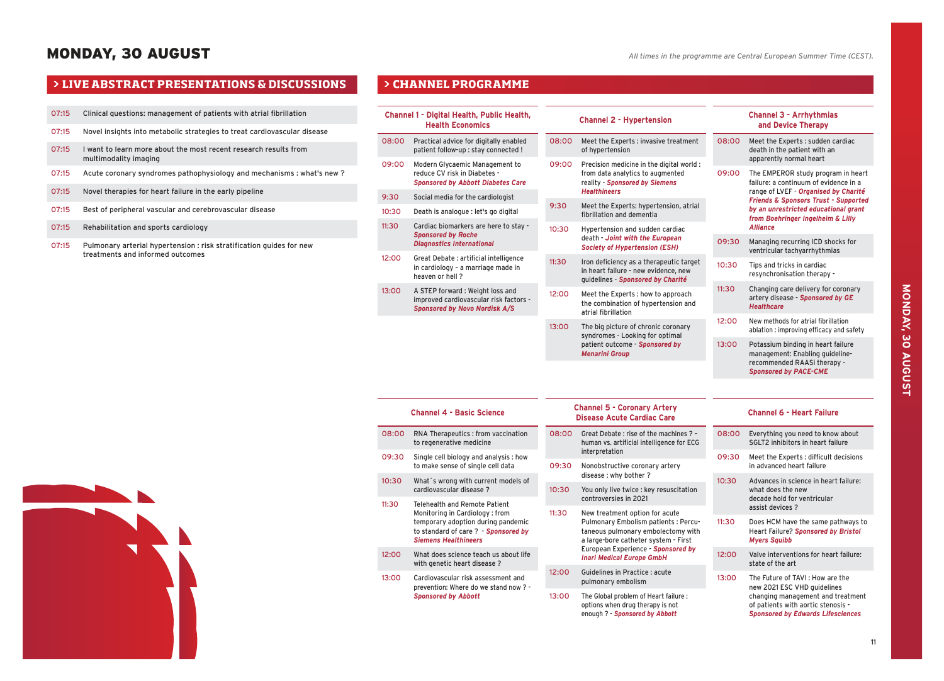# MONDAY, 30 AUGUST

- 07:15 Clinical questions: management of patients with atrial fibrillation
- 07:15 Novel insights into metabolic strategies to treat cardiovascular disease
- 07:15 I want to learn more about the most recent research results from multimodality imaging
- 07:15 Acute coronary syndromes pathophysiology and mechanisms : what's new ?
- 07:15 Novel therapies for heart failure in the early pipeline
- 07:15 Best of peripheral vascular and cerebrovascular disease
- 07:15 Rehabilitation and sports cardiology
- 07:15 Pulmonary arterial hypertension : risk stratification guides for new treatments and informed outcomes

|       | Channel 1 - Digital Health, Public Health,<br><b>Health Economics</b>                                              |       | <b>Channel 2 - Hypertension</b>                                                                                      |       | <b>Channel 3 - Arrhythmias</b><br>and Device Therapy                                                                                 |  |
|-------|--------------------------------------------------------------------------------------------------------------------|-------|----------------------------------------------------------------------------------------------------------------------|-------|--------------------------------------------------------------------------------------------------------------------------------------|--|
| 08:00 | Practical advice for digitally enabled<br>patient follow-up : stay connected !                                     | 08:00 | Meet the Experts : invasive treatment<br>of hypertension                                                             | 08:00 | Meet the Experts: sudden cardiac<br>death in the patient with an<br>apparently normal heart                                          |  |
| 09:00 | Modern Glycaemic Management to<br>reduce CV risk in Diabetes -<br><b>Sponsored by Abbott Diabetes Care</b>         | 09:00 | Precision medicine in the digital world:<br>from data analytics to augmented<br>reality - Sponsored by Siemens       | 09:00 | The EMPEROR study program in heart<br>failure: a continuum of evidence in a                                                          |  |
| 9:30  | Social media for the cardiologist                                                                                  |       | <b>Healthineers</b>                                                                                                  |       | range of LVEF - Organised by Charité<br><b>Friends &amp; Sponsors Trust - Supported</b>                                              |  |
| 10:30 | Death is analogue : let's go digital                                                                               | 9:30  | Meet the Experts: hypertension, atrial<br>fibrillation and dementia                                                  |       | by an unrestricted educational grant<br>from Boehringer Ingelheim & Lilly                                                            |  |
| 11:30 | Cardiac biomarkers are here to stay -<br><b>Sponsored by Roche</b><br><b>Diagnostics International</b>             | 10:30 | Hypertension and sudden cardiac<br>death - Joint with the European<br><b>Society of Hypertension (ESH)</b>           | 09:30 | <b>Alliance</b><br>Managing recurring ICD shocks for<br>ventricular tachyarrhythmias                                                 |  |
| 12:00 | Great Debate : artificial intelligence<br>in cardiology - a marriage made in<br>heaven or hell?                    | 11:30 | Iron deficiency as a therapeutic target<br>in heart failure - new evidence, new<br>guidelines - Sponsored by Charité | 10:30 | Tips and tricks in cardiac<br>resynchronisation therapy -                                                                            |  |
| 13:00 | A STEP forward : Weight loss and<br>improved cardiovascular risk factors -<br><b>Sponsored by Novo Nordisk A/S</b> | 12:00 | Meet the Experts : how to approach<br>the combination of hypertension and<br>atrial fibrillation                     | 11:30 | Changing care delivery for coronary<br>artery disease - Sponsored by GE<br><b>Healthcare</b>                                         |  |
|       |                                                                                                                    | 13:00 | The big picture of chronic coronary<br>syndromes - Looking for optimal                                               | 12:00 | New methods for atrial fibrillation<br>ablation : improving efficacy and safety                                                      |  |
|       |                                                                                                                    |       | patient outcome - Sponsored by<br><b>Menarini Group</b>                                                              | 13:00 | Potassium binding in heart failure<br>management: Enabling guideline-<br>recommended RAASi therapy -<br><b>Sponsored by PACE-CME</b> |  |
|       |                                                                                                                    |       |                                                                                                                      |       |                                                                                                                                      |  |
|       | <b>Channel 4 - Basic Science</b>                                                                                   |       | <b>Channel 5 - Coronary Artery</b><br><b>Disease Acute Cardiac Care</b>                                              |       | <b>Channel 6 - Heart Failure</b>                                                                                                     |  |
| 08:00 | RNA Therapeutics : from vaccination<br>to regenerative medicine                                                    | 08:00 | Great Debate: rise of the machines ? -<br>human vs. artificial intelligence for ECG                                  | 08:00 | Everything you need to know about<br>SGLT2 inhibitors in heart failure                                                               |  |
| 09:30 | Single cell biology and analysis: how<br>to make sense of single cell data                                         | 09:30 | interpretation<br>Nonobstructive coronary artery                                                                     | 09:30 | Meet the Experts : difficult decisions<br>in advanced heart failure                                                                  |  |
| 10:30 | What's wrong with current models of<br>cardiovascular disease?                                                     | 10:30 | disease : why bother ?<br>You only live twice : key resuscitation<br>controversies in 2021                           | 10:30 | Advances in science in heart failure:<br>what does the new<br>decade hold for ventricular                                            |  |
| 11:30 | Telehealth and Remote Patient<br>Monitoring in Cardiology: from                                                    | 11:30 | New treatment option for acute                                                                                       |       | assist devices ?                                                                                                                     |  |
|       | temporary adoption during pandemic<br>to standard of care ? - Sponsored by<br><b>Siemens Healthineers</b>          |       | Pulmonary Embolism patients : Percu-<br>taneous pulmonary embolectomy with<br>a large-bore catheter system - First   | 11:30 | Does HCM have the same pathways to<br>Heart Failure? Sponsored by Bristol<br><b>Myers Squibb</b>                                     |  |
| 12:00 | What does science teach us about life<br>with genetic heart disease ?                                              |       | European Experience - Sponsored by<br><b>Inari Medical Europe GmbH</b>                                               | 12:00 | Valve interventions for heart failure:<br>state of the art                                                                           |  |
| 13:00 | Cardiovascular risk assessment and<br>prevention: Where do we stand now? -                                         | 12:00 | Guidelines in Practice : acute<br>pulmonary embolism                                                                 |       | The Future of TAVI: How are the<br>new 2021 ESC VHD quidelines                                                                       |  |
|       | <b>Sponsored by Abbott</b>                                                                                         | 13:00 | The Global problem of Heart failure :<br>options when drug therapy is not<br>enough ? - Sponsored by Abbott          |       | changing management and treatment<br>of patients with aortic stenosis -<br><b>Sponsored by Edwards Lifesciences</b>                  |  |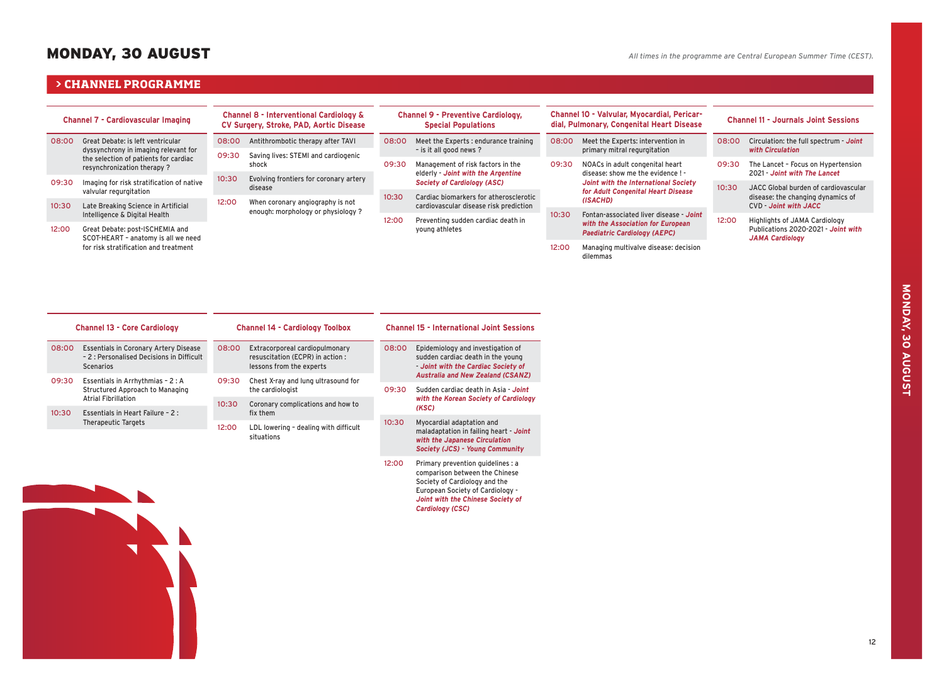# MONDAY, 30 AUGUST

### $\triangleright$  **CHANNEL PROGRAMME**

| <b>Channel 7 - Cardiovascular Imaging</b> |                                                                                                                                                      | <b>Channel 8 - Interventional Cardiology &amp;</b><br>CV Surgery, Stroke, PAD, Aortic Disease |                                                                       | <b>Channel 9 - Preventive Cardiology,</b><br><b>Special Populations</b> |                                                                                                               | Channel 10 - Valvular, Myocardial, Pericar-<br>dial, Pulmonary, Congenital Heart Disease |                                                                                                                                                                | <b>Channel 11 - Journals Joint Sessions</b> |                                                                                                                                  |
|-------------------------------------------|------------------------------------------------------------------------------------------------------------------------------------------------------|-----------------------------------------------------------------------------------------------|-----------------------------------------------------------------------|-------------------------------------------------------------------------|---------------------------------------------------------------------------------------------------------------|------------------------------------------------------------------------------------------|----------------------------------------------------------------------------------------------------------------------------------------------------------------|---------------------------------------------|----------------------------------------------------------------------------------------------------------------------------------|
| 08:00                                     | Great Debate: is left ventricular<br>dyssynchrony in imaging relevant for<br>the selection of patients for cardiac<br>resynchronization therapy?     | 08:00<br>09:30                                                                                | Antithrombotic therapy after TAVI                                     | 08:00                                                                   | Meet the Experts : endurance training<br>- is it all good news ?                                              | 08:00                                                                                    | Meet the Experts: intervention in<br>primary mitral regurgitation                                                                                              | 08:00                                       | Circulation: the full spectrum - Joint<br>with Circulation                                                                       |
|                                           |                                                                                                                                                      |                                                                                               | Saving lives: STEMI and cardiogenic<br>shock                          | 09:30                                                                   | Management of risk factors in the<br>elderly - Joint with the Argentine<br><b>Society of Cardiology (ASC)</b> | 09:30<br>10:30                                                                           | NOACs in adult congenital heart<br>disease: show me the evidence ! -<br>Joint with the International Society<br>for Adult Congenital Heart Disease<br>(ISACHD) | 09:30                                       | The Lancet - Focus on Hypertension                                                                                               |
| 09:30                                     | Imaging for risk stratification of native<br>valvular regurgitation<br>Late Breaking Science in Artificial<br>10:30<br>Intelligence & Digital Health | 10:30<br>12:00                                                                                | Evolving frontiers for coronary artery<br>disease                     |                                                                         |                                                                                                               |                                                                                          |                                                                                                                                                                | 10:30                                       | 2021 - Joint with The Lancet<br>JACC Global burden of cardiovascular<br>disease: the changing dynamics of<br>CVD Joint with JACC |
|                                           |                                                                                                                                                      |                                                                                               | When coronary angiography is not<br>enough: morphology or physiology? | 10:30                                                                   | Cardiac biomarkers for atherosclerotic<br>cardiovascular disease risk prediction                              |                                                                                          |                                                                                                                                                                |                                             |                                                                                                                                  |
|                                           |                                                                                                                                                      |                                                                                               |                                                                       |                                                                         |                                                                                                               |                                                                                          | Fontan-associated liver disease - Joint<br>with the Association for European<br><b>Paediatric Cardiology (AEPC)</b>                                            |                                             |                                                                                                                                  |
| 12:00                                     | Great Debate: post-ISCHEMIA and                                                                                                                      |                                                                                               |                                                                       | 12:00                                                                   | Preventing sudden cardiac death in<br>young athletes                                                          |                                                                                          |                                                                                                                                                                | 12:00                                       | Highlights of JAMA Cardiology<br>Publications 2020-2021 - Joint with<br><b>JAMA Cardiology</b>                                   |
|                                           | SCOT-HEART - anatomy is all we need<br>for risk stratification and treatment                                                                         |                                                                                               |                                                                       |                                                                         |                                                                                                               |                                                                                          |                                                                                                                                                                |                                             |                                                                                                                                  |
|                                           |                                                                                                                                                      |                                                                                               |                                                                       |                                                                         |                                                                                                               | 12:00                                                                                    | Managing multivalve disease: decision<br>dilemmas                                                                                                              |                                             |                                                                                                                                  |
|                                           |                                                                                                                                                      |                                                                                               |                                                                       |                                                                         |                                                                                                               |                                                                                          |                                                                                                                                                                |                                             |                                                                                                                                  |
|                                           |                                                                                                                                                      |                                                                                               |                                                                       |                                                                         |                                                                                                               |                                                                                          |                                                                                                                                                                |                                             |                                                                                                                                  |

*Joint with the Chinese Society of* 

*Cardiology (CSC)*

|       | <b>Channel 13 - Core Cardiology</b>                                                                           |       | <b>Channel 14 - Cardiology Toolbox</b>                                                                  | <b>Channel 15 - International Joint Sessions</b> |                                                                                                                                          |  |
|-------|---------------------------------------------------------------------------------------------------------------|-------|---------------------------------------------------------------------------------------------------------|--------------------------------------------------|------------------------------------------------------------------------------------------------------------------------------------------|--|
| 08:00 | <b>Essentials in Coronary Artery Disease</b><br>- 2 : Personalised Decisions in Difficult<br><b>Scenarios</b> |       | Extracorporeal cardiopulmonary<br>08:00<br>resuscitation (ECPR) in action :<br>lessons from the experts |                                                  | Epidemiology and investigation of<br>sudden cardiac death in the young<br>Joint with the Cardiac Society of                              |  |
| 09:30 | Essentials in Arrhythmias - 2 : A<br>Structured Approach to Managing                                          | 09:30 | Chest X-ray and lung ultrasound for<br>the cardiologist                                                 | 09:30                                            | <b>Australia and New Zealand (CSANZ)</b><br>Sudden cardiac death in Asia - Joint<br>with the Korean Society of Cardiology<br>(KSC)       |  |
| 10:30 | <b>Atrial Fibrillation</b><br>Essentials in Heart Failure - 2 :                                               | 10:30 | Coronary complications and how to<br>fix them                                                           |                                                  |                                                                                                                                          |  |
|       | <b>Therapeutic Targets</b>                                                                                    | 12:00 | LDL lowering - dealing with difficult<br>situations                                                     | 10:30                                            | Myocardial adaptation and<br>maladaptation in failing heart - Joint<br>with the Japanese Circulation<br>Society (JCS) - Young Community  |  |
|       |                                                                                                               |       |                                                                                                         | 12:00                                            | Primary prevention quidelines : a<br>comparison between the Chinese<br>Society of Cardiology and the<br>European Society of Cardiology - |  |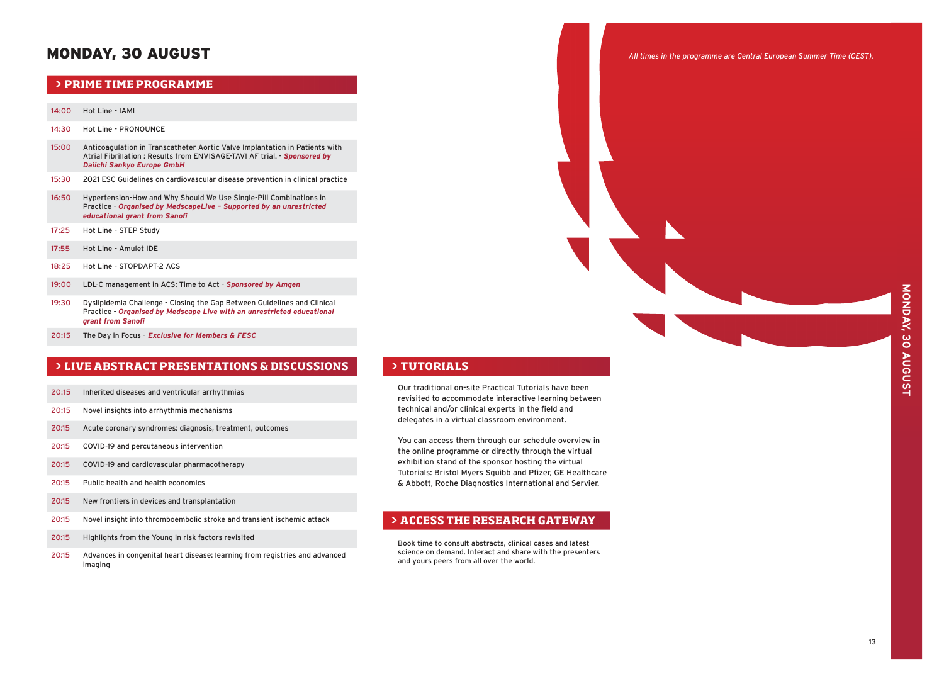# MONDAY, 30 AUGUST

## **PRIME TIME PROGRAMME**

- 14:00 Hot Line IAMI
- 14:30 Hot Line PRONOUNCE
- 15:00 Anticoagulation in Transcatheter Aortic Valve Implantation in Patients with Atrial Fibrillation : Results from ENVISAGE-TAVI AF trial. - *Sponsored by Daiichi Sankyo Europe GmbH*
- 15:30 2021 ESC Guidelines on cardiovascular disease prevention in clinical practice
- 16:50 Hypertension-How and Why Should We Use Single-Pill Combinations in Practice - *Organised by MedscapeLive – Supported by an unrestricted educational grant from Sanofi*
- 17:25 Hot Line STEP Study
- 17:55 Hot Line Amulet IDE
- 18:25 Hot Line STOPDAPT-2 ACS
- 19:00 LDL-C management in ACS: Time to Act *Sponsored by Amgen*
- 19:30 Dyslipidemia Challenge Closing the Gap Between Guidelines and Clinical Practice - *Organised by Medscape Live with an unrestricted educational grant from Sanofi*
- 20:15 The Day in Focus - *Exclusive for Members & FESC*

# **> LIVE ABSTRACT PRESENTATIONS & DISCUSSIONS**

- 20:15 Inherited diseases and ventricular arrhythmias
- 20:15 Novel insights into arrhythmia mechanisms
- 20:15 Acute coronary syndromes: diagnosis, treatment, outcomes
- 20:15 COVID-19 and percutaneous intervention
- 20:15 COVID-19 and cardiovascular pharmacotherapy
- 20:15 Public health and health economics
- 20:15 New frontiers in devices and transplantation
- 20:15 Novel insight into thromboembolic stroke and transient ischemic attack
- 20:15 Highlights from the Young in risk factors revisited
- 20:15 Advances in congenital heart disease: learning from registries and advanced imaging

### **> TUTORIALS**

Our traditional on-site Practical Tutorials have been revisited to accommodate interactive learning between technical and/or clinical experts in the field and delegates in a virtual classroom environment.

You can access them through our schedule overview in the online programme or directly through the virtual exhibition stand of the sponsor hosting the virtual Tutorials: Bristol Myers Squibb and Pfizer, GE Healthcare & Abbott, Roche Diagnostics International and Servier.

# **> ACCESS THE RESEARCH GATEWAY**

Book time to consult abstracts, clinical cases and latest science on demand. Interact and share with the presenters and yours peers from all over the world.